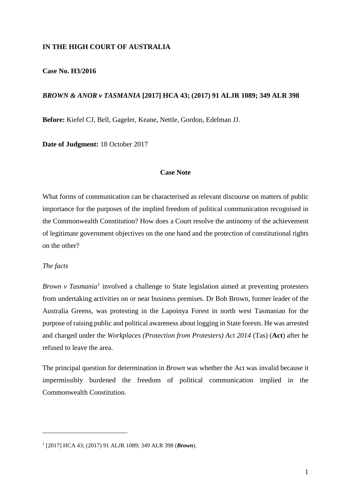## **IN THE HIGH COURT OF AUSTRALIA**

## **Case No. H3/2016**

## *BROWN & ANOR v TASMANIA* **[2017] HCA 43; (2017) 91 ALJR 1089; 349 ALR 398**

**Before:** Kiefel CJ, Bell, Gageler, Keane, Nettle, Gordon, Edelman JJ.

**Date of Judgment:** 18 October 2017

## **Case Note**

What forms of communication can be characterised as relevant discourse on matters of public importance for the purposes of the implied freedom of political communication recognised in the Commonwealth Constitution? How does a Court resolve the antinomy of the achievement of legitimate government objectives on the one hand and the protection of constitutional rights on the other?

#### *The facts*

 $\overline{a}$ 

*Brown v Tasmania*<sup>[1](#page-0-0)</sup> involved a challenge to State legislation aimed at preventing protesters from undertaking activities on or near business premises. Dr Bob Brown, former leader of the Australia Greens, was protesting in the Lapoinya Forest in north west Tasmanian for the purpose of raising public and political awareness about logging in State forests. He was arrested and charged under the *Workplaces (Protection from Protesters) Act 2014* (Tas) (**Act**) after he refused to leave the area.

The principal question for determination in *Brown* was whether the Act was invalid because it impermissibly burdened the freedom of political communication implied in the Commonwealth Constitution.

<span id="page-0-0"></span><sup>1</sup> [2017] HCA 43; (2017) 91 ALJR 1089; 349 ALR 398 (*Brown*).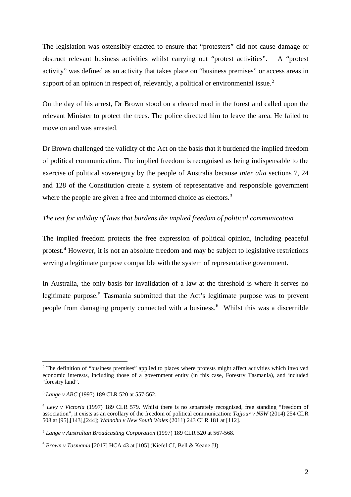The legislation was ostensibly enacted to ensure that "protesters" did not cause damage or obstruct relevant business activities whilst carrying out "protest activities". A "protest activity" was defined as an activity that takes place on "business premises" or access areas in support of an opinion in respect of, relevantly, a political or environmental issue.<sup>[2](#page-1-0)</sup>

On the day of his arrest, Dr Brown stood on a cleared road in the forest and called upon the relevant Minister to protect the trees. The police directed him to leave the area. He failed to move on and was arrested.

Dr Brown challenged the validity of the Act on the basis that it burdened the implied freedom of political communication. The implied freedom is recognised as being indispensable to the exercise of political sovereignty by the people of Australia because *inter alia* sections 7, 24 and 128 of the Constitution create a system of representative and responsible government where the people are given a free and informed choice as electors. $3$ 

# *The test for validity of laws that burdens the implied freedom of political communication*

The implied freedom protects the free expression of political opinion, including peaceful protest. [4](#page-1-2) However, it is not an absolute freedom and may be subject to legislative restrictions serving a legitimate purpose compatible with the system of representative government.

In Australia, the only basis for invalidation of a law at the threshold is where it serves no legitimate purpose.<sup>[5](#page-1-3)</sup> Tasmania submitted that the Act's legitimate purpose was to prevent people from damaging property connected with a business.<sup>[6](#page-1-4)</sup> Whilst this was a discernible

<span id="page-1-0"></span><sup>&</sup>lt;sup>2</sup> The definition of "business premises" applied to places where protests might affect activities which involved economic interests, including those of a government entity (in this case, Forestry Tasmania), and included "forestry land".

<span id="page-1-1"></span><sup>3</sup> *Lange v ABC* (1997) 189 CLR 520 at 557-562.

<span id="page-1-2"></span><sup>4</sup> *Levy v Victoria* (1997) 189 CLR 579. Whilst there is no separately recognised, free standing "freedom of association", it exists as an corollary of the freedom of political communication: *Tajjour v NSW* (2014) 254 CLR 508 at [95],[143],[244]; *Wainohu v New South Wales* (2011) 243 CLR 181 at [112].

<span id="page-1-3"></span><sup>5</sup> *Lange v Australian Broadcasting Corporation* (1997) 189 CLR 520 at 567-568.

<span id="page-1-4"></span><sup>6</sup> *Brown v Tasmania* [2017] HCA 43 at [105] (Kiefel CJ, Bell & Keane JJ).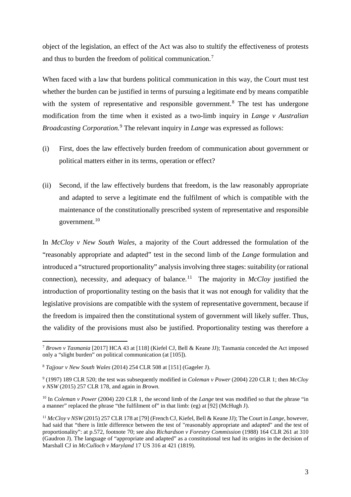object of the legislation, an effect of the Act was also to stultify the effectiveness of protests and thus to burden the freedom of political communication.<sup>[7](#page-2-0)</sup>

When faced with a law that burdens political communication in this way, the Court must test whether the burden can be justified in terms of pursuing a legitimate end by means compatible with the system of representative and responsible government.<sup>[8](#page-2-1)</sup> The test has undergone modification from the time when it existed as a two-limb inquiry in *Lange v Australian Broadcasting Corporation.* [9](#page-2-2) The relevant inquiry in *Lange* was expressed as follows:

- (i) First, does the law effectively burden freedom of communication about government or political matters either in its terms, operation or effect?
- (ii) Second, if the law effectively burdens that freedom, is the law reasonably appropriate and adapted to serve a legitimate end the fulfilment of which is compatible with the maintenance of the constitutionally prescribed system of representative and responsible government.[10](#page-2-3)

In *McCloy v New South Wales*, a majority of the Court addressed the formulation of the "reasonably appropriate and adapted" test in the second limb of the *Lange* formulation and introduced a "structured proportionality" analysis involving three stages: suitability (or rational connection), necessity, and adequacy of balance.<sup>[11](#page-2-4)</sup> The majority in  $McCloy$  justified the introduction of proportionality testing on the basis that it was not enough for validity that the legislative provisions are compatible with the system of representative government, because if the freedom is impaired then the constitutional system of government will likely suffer. Thus, the validity of the provisions must also be justified. Proportionality testing was therefore a

<span id="page-2-0"></span> <sup>7</sup> *Brown v Tasmania* [2017] HCA 43 at [118] (Kiefel CJ, Bell & Keane JJ); Tasmania conceded the Act imposed only a "slight burden" on political communication (at [105]).

<span id="page-2-1"></span><sup>8</sup> *Tajjour v New South Wales* (2014) 254 CLR 508 at [151] (Gageler J).

<span id="page-2-2"></span><sup>9</sup> (1997) 189 CLR 520; the test was subsequently modified in *Coleman v Power* (2004) 220 CLR 1; then *McCloy v NSW* (2015) 257 CLR 178, and again in *Brown.*

<span id="page-2-3"></span><sup>&</sup>lt;sup>10</sup> In *Coleman v Power* (2004) 220 CLR 1, the second limb of the *Lange* test was modified so that the phrase "in a manner" replaced the phrase "the fulfilment of" in that limb: (eg) at [92] (McHugh J).

<span id="page-2-4"></span><sup>11</sup> *McCloy v NSW* (2015) 257 CLR 178 at [79] (French CJ, Kiefel, Bell & Keane JJ); The Court in *Lange*, however, had said that "there is little difference between the test of "reasonably appropriate and adapted" and the test of proportionality": at p.572, footnote 70; see also *Richardson v Forestry Commission* (1988) 164 CLR 261 at 310 (Gaudron J). The language of "appropriate and adapted" as a constitutional test had its origins in the decision of Marshall CJ in *McCulloch v Maryland* 17 US 316 at 421 (1819).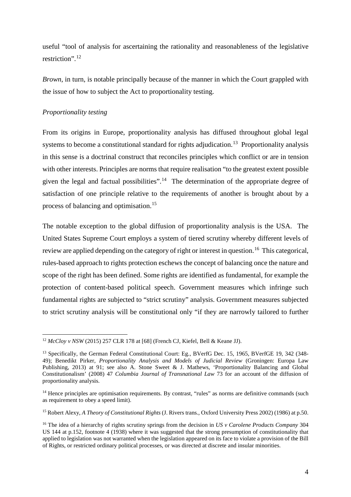useful "tool of analysis for ascertaining the rationality and reasonableness of the legislative restriction". [12](#page-3-0)

*Brown*, in turn, is notable principally because of the manner in which the Court grappled with the issue of how to subject the Act to proportionality testing.

## *Proportionality testing*

From its origins in Europe, proportionality analysis has diffused throughout global legal systems to become a constitutional standard for rights adjudication.<sup>[13](#page-3-1)</sup> Proportionality analysis in this sense is a doctrinal construct that reconciles principles which conflict or are in tension with other interests. Principles are norms that require realisation "to the greatest extent possible given the legal and factual possibilities".<sup>[14](#page-3-2)</sup> The determination of the appropriate degree of satisfaction of one principle relative to the requirements of another is brought about by a process of balancing and optimisation.[15](#page-3-3)

The notable exception to the global diffusion of proportionality analysis is the USA. The United States Supreme Court employs a system of tiered scrutiny whereby different levels of review are applied depending on the category of right or interest in question.<sup>[16](#page-3-4)</sup> This categorical, rules-based approach to rights protection eschews the concept of balancing once the nature and scope of the right has been defined. Some rights are identified as fundamental, for example the protection of content-based political speech. Government measures which infringe such fundamental rights are subjected to "strict scrutiny" analysis. Government measures subjected to strict scrutiny analysis will be constitutional only "if they are narrowly tailored to further

<span id="page-3-0"></span><sup>&</sup>lt;sup>12</sup> *McCloy v NSW* (2015) 257 CLR 178 at [68] (French CJ, Kiefel, Bell & Keane JJ).

<span id="page-3-1"></span><sup>&</sup>lt;sup>13</sup> Specifically, the German Federal Constitutional Court: Eg., BVerfG Dec. 15, 1965, BVerfGE 19, 342 (348-49); Benedikt Pirker, *Proportionality Analysis and Models of Judicial Review* (Groningen: Europa Law Publishing, 2013) at 91; see also A. Stone Sweet & J. Mathews, 'Proportionality Balancing and Global Constitutionalism' (2008) 47 *Columbia Journal of Transnational Law* 73 for an account of the diffusion of proportionality analysis.

<span id="page-3-2"></span><sup>&</sup>lt;sup>14</sup> Hence principles are optimisation requirements. By contrast, "rules" as norms are definitive commands (such as requirement to obey a speed limit).

<span id="page-3-3"></span><sup>15</sup> Robert Alexy, *A Theory of Constitutional Rights* (J. Rivers trans., Oxford University Press 2002) (1986) at p.50.

<span id="page-3-4"></span><sup>16</sup> The idea of a hierarchy of rights scrutiny springs from the decision in *US v Carolene Products Company* 304 US 144 at p.152, footnote 4 (1938) where it was suggested that the strong presumption of constitutionality that applied to legislation was not warranted when the legislation appeared on its face to violate a provision of the Bill of Rights, or restricted ordinary political processes, or was directed at discrete and insular minorities.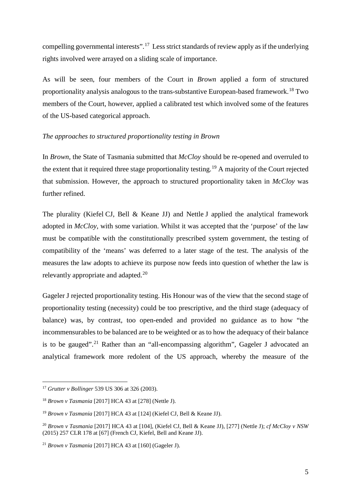compelling governmental interests".[17](#page-4-0) Less strict standards of review apply as if the underlying rights involved were arrayed on a sliding scale of importance.

As will be seen, four members of the Court in *Brown* applied a form of structured proportionality analysis analogous to the trans-substantive European-based framework.[18](#page-4-1) Two members of the Court, however, applied a calibrated test which involved some of the features of the US-based categorical approach.

# *The approaches to structured proportionality testing in Brown*

In *Brown*, the State of Tasmania submitted that *McCloy* should be re-opened and overruled to the extent that it required three stage proportionality testing.[19](#page-4-2) A majority of the Court rejected that submission. However, the approach to structured proportionality taken in *McCloy* was further refined.

The plurality (Kiefel CJ, Bell & Keane JJ) and Nettle J applied the analytical framework adopted in *McCloy*, with some variation. Whilst it was accepted that the 'purpose' of the law must be compatible with the constitutionally prescribed system government, the testing of compatibility of the 'means' was deferred to a later stage of the test. The analysis of the measures the law adopts to achieve its purpose now feeds into question of whether the law is relevantly appropriate and adapted.[20](#page-4-3) 

Gageler J rejected proportionality testing. His Honour was of the view that the second stage of proportionality testing (necessity) could be too prescriptive, and the third stage (adequacy of balance) was, by contrast, too open-ended and provided no guidance as to how "the incommensurables to be balanced are to be weighted or as to how the adequacy of their balance is to be gauged".<sup>[21](#page-4-4)</sup> Rather than an "all-encompassing algorithm", Gageler J advocated an analytical framework more redolent of the US approach, whereby the measure of the

<span id="page-4-0"></span> <sup>17</sup> *Grutter v Bollinger* 539 US 306 at 326 (2003).

<span id="page-4-1"></span><sup>18</sup> *Brown v Tasmania* [2017] HCA 43 at [278] (Nettle J).

<span id="page-4-2"></span><sup>19</sup> *Brown v Tasmania* [2017] HCA 43 at [124] (Kiefel CJ, Bell & Keane JJ).

<span id="page-4-3"></span><sup>20</sup> *Brown v Tasmania* [2017] HCA 43 at [104], (Kiefel CJ, Bell & Keane JJ), [277] (Nettle J); *cf McCloy v NSW*  (2015) 257 CLR 178 at [67] (French CJ, Kiefel, Bell and Keane JJ).

<span id="page-4-4"></span><sup>21</sup> *Brown v Tasmania* [2017] HCA 43 at [160] (Gageler J).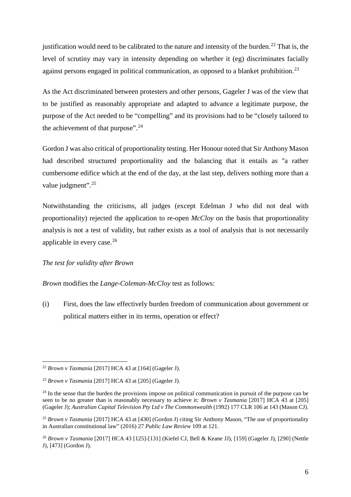justification would need to be calibrated to the nature and intensity of the burden. [22](#page-5-0) That is, the level of scrutiny may vary in intensity depending on whether it (eg) discriminates facially against persons engaged in political communication, as opposed to a blanket prohibition.<sup>[23](#page-5-1)</sup>

As the Act discriminated between protesters and other persons, Gageler J was of the view that to be justified as reasonably appropriate and adapted to advance a legitimate purpose, the purpose of the Act needed to be "compelling" and its provisions had to be "closely tailored to the achievement of that purpose".<sup>[24](#page-5-2)</sup>

Gordon J was also critical of proportionality testing. Her Honour noted that Sir Anthony Mason had described structured proportionality and the balancing that it entails as "a rather cumbersome edifice which at the end of the day, at the last step, delivers nothing more than a value judgment".<sup>[25](#page-5-3)</sup>

Notwithstanding the criticisms, all judges (except Edelman J who did not deal with proportionality) rejected the application to re-open *McCloy* on the basis that proportionality analysis is not a test of validity, but rather exists as a tool of analysis that is not necessarily applicable in every case.[26](#page-5-4)

# *The test for validity after Brown*

*Brown* modifies the *Lange-Coleman-McCloy* test as follows:

(i) First, does the law effectively burden freedom of communication about government or political matters either in its terms, operation or effect?

<span id="page-5-0"></span> <sup>22</sup> *Brown v Tasmania* [2017] HCA 43 at [164] (Gageler J).

<span id="page-5-1"></span><sup>23</sup> *Brown v Tasmania* [2017] HCA 43 at [205] (Gageler J).

<span id="page-5-2"></span> $^{24}$  In the sense that the burden the provisions impose on political communication in pursuit of the purpose can be seen to be no greater than is reasonably necessary to achieve it*: Brown v Tasmania* [2017] HCA 43 at [205] (Gageler J); *Australian Capital Television Pty Ltd v The Commonwealth* (1992) 177 CLR 106 at 143 (Mason CJ).

<span id="page-5-3"></span><sup>25</sup> *Brown v Tasmania* [2017] HCA 43 at [430] (Gordon J) citing Sir Anthony Mason, "The use of proportionality in Australian constitutional law" (2016) 27 *Public Law Review* 109 at 121.

<span id="page-5-4"></span><sup>26</sup> *Brown v Tasmania* [2017] HCA 43 [125]-[131] (Kiefel CJ, Bell & Keane JJ), [159] (Gageler J), [290] (Nettle J), [473] (Gordon J).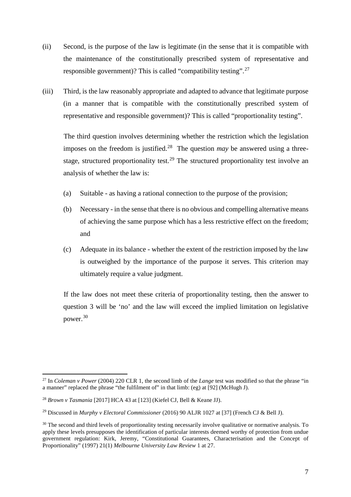- (ii) Second, is the purpose of the law is legitimate (in the sense that it is compatible with the maintenance of the constitutionally prescribed system of representative and responsible government)? This is called "compatibility testing".<sup>[27](#page-6-0)</sup>
- (iii) Third, is the law reasonably appropriate and adapted to advance that legitimate purpose (in a manner that is compatible with the constitutionally prescribed system of representative and responsible government)? This is called "proportionality testing".

The third question involves determining whether the restriction which the legislation imposes on the freedom is justified.<sup>[28](#page-6-1)</sup> The question *may* be answered using a three-stage, structured proportionality test.<sup>[29](#page-6-2)</sup> The structured proportionality test involve an analysis of whether the law is:

- (a) Suitable as having a rational connection to the purpose of the provision;
- (b) Necessary in the sense that there is no obvious and compelling alternative means of achieving the same purpose which has a less restrictive effect on the freedom; and
- (c) Adequate in its balance whether the extent of the restriction imposed by the law is outweighed by the importance of the purpose it serves. This criterion may ultimately require a value judgment.

If the law does not meet these criteria of proportionality testing, then the answer to question 3 will be 'no' and the law will exceed the implied limitation on legislative power.[30](#page-6-3)

<span id="page-6-0"></span><sup>&</sup>lt;sup>27</sup> In *Coleman v Power* (2004) 220 CLR 1, the second limb of the *Lange* test was modified so that the phrase "in a manner" replaced the phrase "the fulfilment of" in that limb: (eg) at [92] (McHugh J).

<span id="page-6-1"></span><sup>28</sup> *Brown v Tasmania* [2017] HCA 43 at [123] (Kiefel CJ, Bell & Keane JJ).

<span id="page-6-2"></span><sup>29</sup> Discussed in *Murphy v Electoral Commissioner* (2016) 90 ALJR 1027 at [37] (French CJ & Bell J).

<span id="page-6-3"></span><sup>&</sup>lt;sup>30</sup> The second and third levels of proportionality testing necessarily involve qualitative or normative analysis. To apply these levels presupposes the identification of particular interests deemed worthy of protection from undue government regulation: Kirk, Jeremy, "Constitutional Guarantees, Characterisation and the Concept of Proportionality" (1997) 21(1) *Melbourne University Law Review* 1 at 27.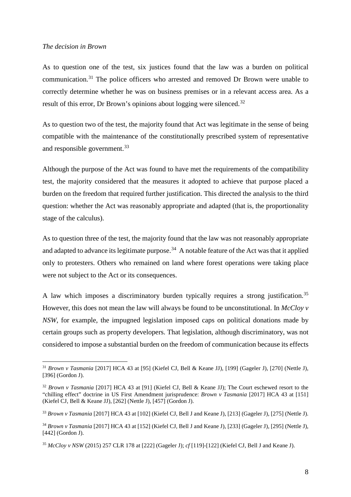#### *The decision in Brown*

As to question one of the test, six justices found that the law was a burden on political communication.[31](#page-7-0) The police officers who arrested and removed Dr Brown were unable to correctly determine whether he was on business premises or in a relevant access area. As a result of this error, Dr Brown's opinions about logging were silenced.<sup>[32](#page-7-1)</sup>

As to question two of the test, the majority found that Act was legitimate in the sense of being compatible with the maintenance of the constitutionally prescribed system of representative and responsible government.<sup>[33](#page-7-2)</sup>

Although the purpose of the Act was found to have met the requirements of the compatibility test, the majority considered that the measures it adopted to achieve that purpose placed a burden on the freedom that required further justification. This directed the analysis to the third question: whether the Act was reasonably appropriate and adapted (that is, the proportionality stage of the calculus).

As to question three of the test, the majority found that the law was not reasonably appropriate and adapted to advance its legitimate purpose.<sup>[34](#page-7-3)</sup> A notable feature of the Act was that it applied only to protesters. Others who remained on land where forest operations were taking place were not subject to the Act or its consequences.

A law which imposes a discriminatory burden typically requires a strong justification.<sup>[35](#page-7-4)</sup> However, this does not mean the law will always be found to be unconstitutional. In *McCloy v NSW*, for example, the impugned legislation imposed caps on political donations made by certain groups such as property developers. That legislation, although discriminatory, was not considered to impose a substantial burden on the freedom of communication because its effects

<span id="page-7-0"></span> <sup>31</sup> *Brown v Tasmania* [2017] HCA 43 at [95] (Kiefel CJ, Bell & Keane JJ), [199] (Gageler J), [270] (Nettle J), [396] (Gordon J).

<span id="page-7-1"></span><sup>32</sup> *Brown v Tasmania* [2017] HCA 43 at [91] (Kiefel CJ, Bell & Keane JJ); The Court eschewed resort to the "chilling effect" doctrine in US First Amendment jurisprudence: *Brown v Tasmania* [2017] HCA 43 at [151] (Kiefel CJ, Bell & Keane JJ), [262] (Nettle J), [457] (Gordon J).

<span id="page-7-2"></span><sup>33</sup> *Brown v Tasmania* [2017] HCA 43 at [102] (Kiefel CJ, Bell J and Keane J), [213] (Gageler J), [275] (Nettle J).

<span id="page-7-3"></span><sup>34</sup> *Brown v Tasmania* [2017] HCA 43 at [152] (Kiefel CJ, Bell J and Keane J), [233] (Gageler J), [295] (Nettle J), [442] (Gordon J).

<span id="page-7-4"></span><sup>35</sup> *McCloy v NSW* (2015) 257 CLR 178 at [222] (Gageler J); *cf* [119]-[122] (Kiefel CJ, Bell J and Keane J).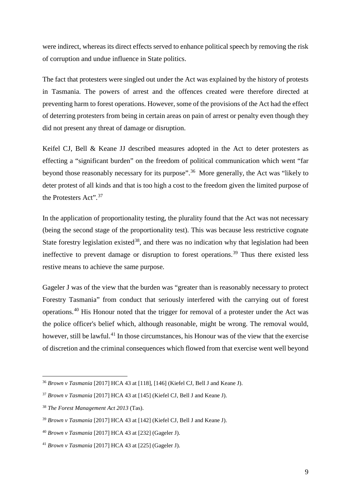were indirect, whereas its direct effects served to enhance political speech by removing the risk of corruption and undue influence in State politics.

The fact that protesters were singled out under the Act was explained by the history of protests in Tasmania. The powers of arrest and the offences created were therefore directed at preventing harm to forest operations. However, some of the provisions of the Act had the effect of deterring protesters from being in certain areas on pain of arrest or penalty even though they did not present any threat of damage or disruption.

Keifel CJ, Bell & Keane JJ described measures adopted in the Act to deter protesters as effecting a "significant burden" on the freedom of political communication which went "far beyond those reasonably necessary for its purpose".<sup>[36](#page-8-0)</sup> More generally, the Act was "likely to deter protest of all kinds and that is too high a cost to the freedom given the limited purpose of the Protesters Act".[37](#page-8-1)

In the application of proportionality testing, the plurality found that the Act was not necessary (being the second stage of the proportionality test). This was because less restrictive cognate State forestry legislation existed<sup>38</sup>, and there was no indication why that legislation had been ineffective to prevent damage or disruption to forest operations. [39](#page-8-3) Thus there existed less restive means to achieve the same purpose.

Gageler J was of the view that the burden was "greater than is reasonably necessary to protect Forestry Tasmania" from conduct that seriously interfered with the carrying out of forest operations.[40](#page-8-4) His Honour noted that the trigger for removal of a protester under the Act was the police officer's belief which, although reasonable, might be wrong. The removal would, however, still be lawful.<sup>[41](#page-8-5)</sup> In those circumstances, his Honour was of the view that the exercise of discretion and the criminal consequences which flowed from that exercise went well beyond

<span id="page-8-0"></span> <sup>36</sup> *Brown v Tasmania* [2017] HCA 43 at [118], [146] (Kiefel CJ, Bell J and Keane J).

<span id="page-8-1"></span><sup>37</sup> *Brown v Tasmania* [2017] HCA 43 at [145] (Kiefel CJ, Bell J and Keane J).

<span id="page-8-2"></span><sup>38</sup> *The Forest Management Act 2013* (Tas).

<span id="page-8-3"></span><sup>39</sup> *Brown v Tasmania* [2017] HCA 43 at [142] (Kiefel CJ, Bell J and Keane J).

<span id="page-8-4"></span><sup>40</sup> *Brown v Tasmania* [2017] HCA 43 at [232] (Gageler J).

<span id="page-8-5"></span><sup>41</sup> *Brown v Tasmania* [2017] HCA 43 at [225] (Gageler J).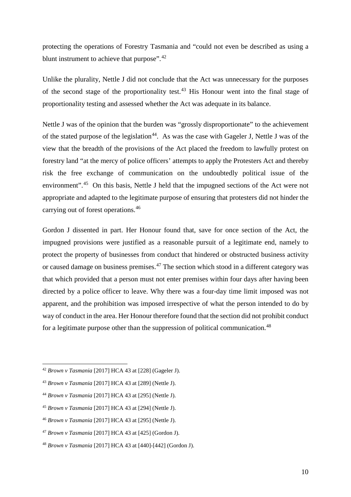protecting the operations of Forestry Tasmania and "could not even be described as using a blunt instrument to achieve that purpose".<sup>[42](#page-9-0)</sup>

Unlike the plurality, Nettle J did not conclude that the Act was unnecessary for the purposes of the second stage of the proportionality test.<sup>[43](#page-9-1)</sup> His Honour went into the final stage of proportionality testing and assessed whether the Act was adequate in its balance.

Nettle J was of the opinion that the burden was "grossly disproportionate" to the achievement of the stated purpose of the legislation<sup>44</sup>. As was the case with Gageler J, Nettle J was of the view that the breadth of the provisions of the Act placed the freedom to lawfully protest on forestry land "at the mercy of police officers' attempts to apply the Protesters Act and thereby risk the free exchange of communication on the undoubtedly political issue of the environment".[45](#page-9-3) On this basis, Nettle J held that the impugned sections of the Act were not appropriate and adapted to the legitimate purpose of ensuring that protesters did not hinder the carrying out of forest operations.[46](#page-9-4)

Gordon J dissented in part. Her Honour found that, save for once section of the Act, the impugned provisions were justified as a reasonable pursuit of a legitimate end, namely to protect the property of businesses from conduct that hindered or obstructed business activity or caused damage on business premises.<sup>[47](#page-9-5)</sup> The section which stood in a different category was that which provided that a person must not enter premises within four days after having been directed by a police officer to leave. Why there was a four-day time limit imposed was not apparent, and the prohibition was imposed irrespective of what the person intended to do by way of conduct in the area. Her Honour therefore found that the section did not prohibit conduct for a legitimate purpose other than the suppression of political communication.<sup>[48](#page-9-6)</sup>

<span id="page-9-0"></span> <sup>42</sup> *Brown v Tasmania* [2017] HCA 43 at [228] (Gageler J).

<span id="page-9-1"></span><sup>43</sup> *Brown v Tasmania* [2017] HCA 43 at [289] (Nettle J).

<span id="page-9-2"></span><sup>44</sup> *Brown v Tasmania* [2017] HCA 43 at [295] (Nettle J).

<span id="page-9-3"></span><sup>45</sup> *Brown v Tasmania* [2017] HCA 43 at [294] (Nettle J).

<span id="page-9-4"></span><sup>46</sup> *Brown v Tasmania* [2017] HCA 43 at [295] (Nettle J).

<span id="page-9-5"></span><sup>47</sup> *Brown v Tasmania* [2017] HCA 43 at [425] (Gordon J).

<span id="page-9-6"></span><sup>48</sup> *Brown v Tasmania* [2017] HCA 43 at [440]-[442] (Gordon J).